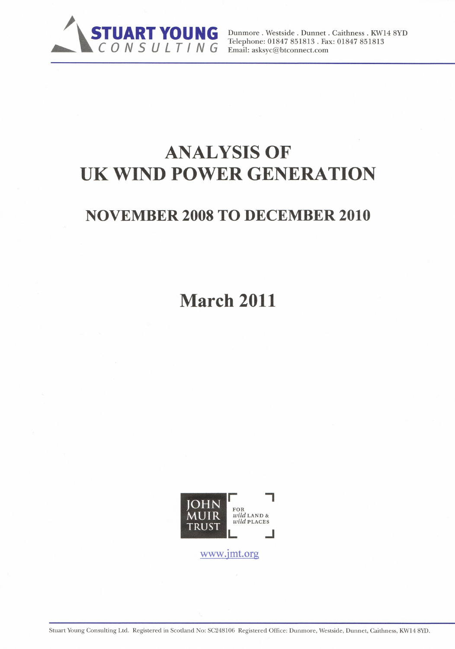

Email: asksyc@btconnect.com

# **ANALYSIS OF** UK WIND POWER GENERATION

# **NOVEMBER 2008 TO DECEMBER 2010**

**March 2011** 



www.jmt.org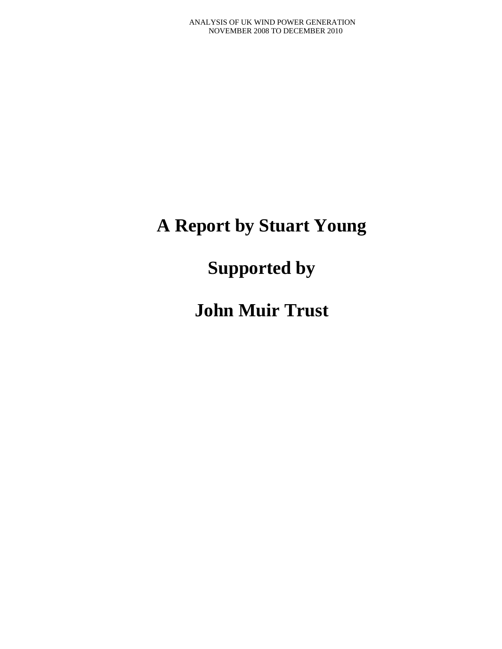# **A Report by Stuart Young**

**Supported by** 

**John Muir Trust**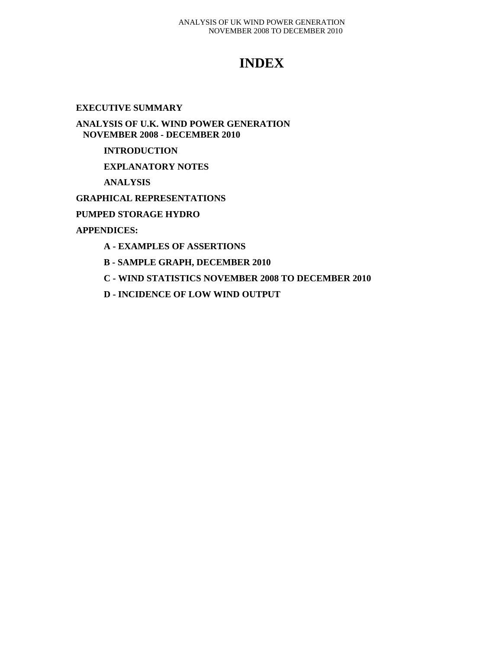# **INDEX**

### **EXECUTIVE SUMMARY**

**ANALYSIS OF U.K. WIND POWER GENERATION NOVEMBER 2008 - DECEMBER 2010** 

### **INTRODUCTION**

**EXPLANATORY NOTES** 

**ANALYSIS** 

**GRAPHICAL REPRESENTATIONS** 

**PUMPED STORAGE HYDRO** 

**APPENDICES:** 

- **A EXAMPLES OF ASSERTIONS**
- **B SAMPLE GRAPH, DECEMBER 2010**
- **C WIND STATISTICS NOVEMBER 2008 TO DECEMBER 2010**
- **D INCIDENCE OF LOW WIND OUTPUT**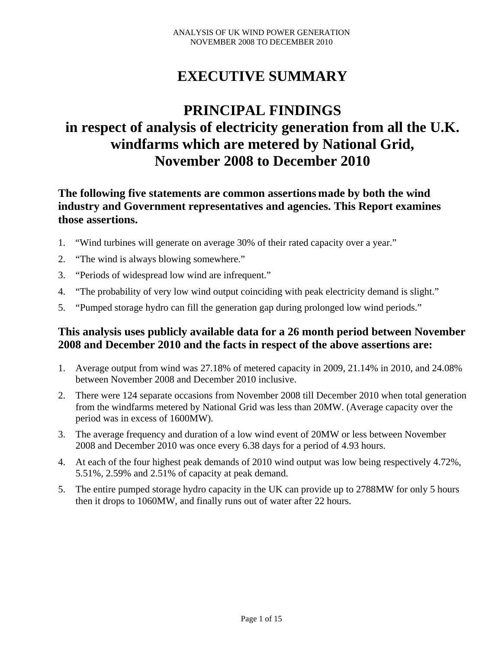# **EXECUTIVE SUMMARY**

# **PRINCIPAL FINDINGS in respect of analysis of electricity generation from all the U.K. windfarms which are metered by National Grid, November 2008 to December 2010**

# **The following five statements are common assertions made by both the wind industry and Government representatives and agencies. This Report examines those assertions.**

- 1. "Wind turbines will generate on average 30% of their rated capacity over a year."
- 2. "The wind is always blowing somewhere."
- 3. "Periods of widespread low wind are infrequent."
- 4. "The probability of very low wind output coinciding with peak electricity demand is slight."
- 5. "Pumped storage hydro can fill the generation gap during prolonged low wind periods."

# **This analysis uses publicly available data for a 26 month period between November 2008 and December 2010 and the facts in respect of the above assertions are:**

- 1. Average output from wind was 27.18% of metered capacity in 2009, 21.14% in 2010, and 24.08% between November 2008 and December 2010 inclusive.
- 2. There were 124 separate occasions from November 2008 till December 2010 when total generation from the windfarms metered by National Grid was less than 20MW. (Average capacity over the period was in excess of 1600MW).
- 3. The average frequency and duration of a low wind event of 20MW or less between November 2008 and December 2010 was once every 6.38 days for a period of 4.93 hours.
- 4. At each of the four highest peak demands of 2010 wind output was low being respectively 4.72%, 5.51%, 2.59% and 2.51% of capacity at peak demand.
- 5. The entire pumped storage hydro capacity in the UK can provide up to 2788MW for only 5 hours then it drops to 1060MW, and finally runs out of water after 22 hours.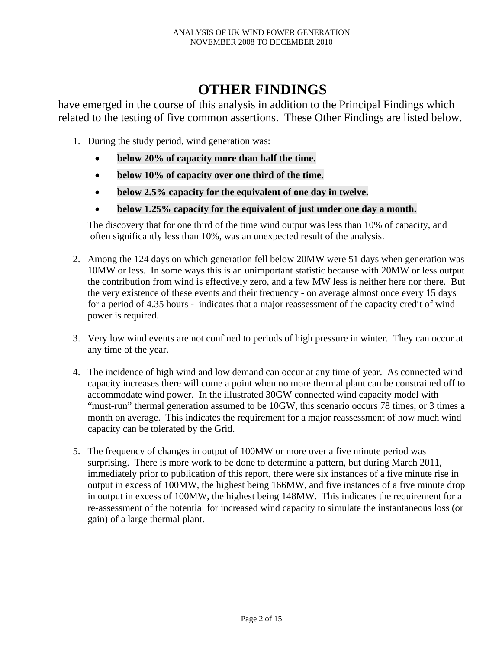# **OTHER FINDINGS**

have emerged in the course of this analysis in addition to the Principal Findings which related to the testing of five common assertions. These Other Findings are listed below.

- 1. During the study period, wind generation was:
	- **below 20% of capacity more than half the time.**
	- **below 10% of capacity over one third of the time.**
	- **below 2.5% capacity for the equivalent of one day in twelve.**
	- **below 1.25% capacity for the equivalent of just under one day a month.**

 The discovery that for one third of the time wind output was less than 10% of capacity, and often significantly less than 10%, was an unexpected result of the analysis.

- 2. Among the 124 days on which generation fell below 20MW were 51 days when generation was 10MW or less. In some ways this is an unimportant statistic because with 20MW or less output the contribution from wind is effectively zero, and a few MW less is neither here nor there. But the very existence of these events and their frequency - on average almost once every 15 days for a period of 4.35 hours - indicates that a major reassessment of the capacity credit of wind power is required.
- 3. Very low wind events are not confined to periods of high pressure in winter. They can occur at any time of the year.
- 4. The incidence of high wind and low demand can occur at any time of year. As connected wind capacity increases there will come a point when no more thermal plant can be constrained off to accommodate wind power. In the illustrated 30GW connected wind capacity model with "must-run" thermal generation assumed to be 10GW, this scenario occurs 78 times, or 3 times a month on average. This indicates the requirement for a major reassessment of how much wind capacity can be tolerated by the Grid.
- 5. The frequency of changes in output of 100MW or more over a five minute period was surprising. There is more work to be done to determine a pattern, but during March 2011, immediately prior to publication of this report, there were six instances of a five minute rise in output in excess of 100MW, the highest being 166MW, and five instances of a five minute drop in output in excess of 100MW, the highest being 148MW. This indicates the requirement for a re-assessment of the potential for increased wind capacity to simulate the instantaneous loss (or gain) of a large thermal plant.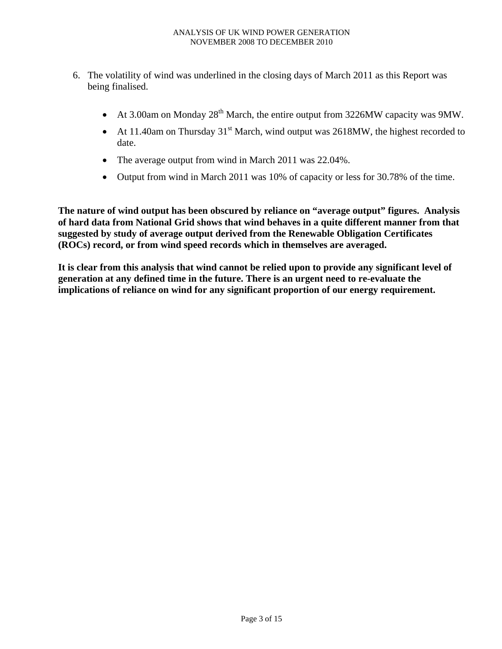- 6. The volatility of wind was underlined in the closing days of March 2011 as this Report was being finalised.
	- At 3.00am on Monday  $28<sup>th</sup>$  March, the entire output from 3226MW capacity was 9MW.
	- At 11.40am on Thursday  $31<sup>st</sup>$  March, wind output was 2618MW, the highest recorded to date.
	- The average output from wind in March 2011 was 22.04%.
	- Output from wind in March 2011 was 10% of capacity or less for 30.78% of the time.

**The nature of wind output has been obscured by reliance on "average output" figures. Analysis of hard data from National Grid shows that wind behaves in a quite different manner from that suggested by study of average output derived from the Renewable Obligation Certificates (ROCs) record, or from wind speed records which in themselves are averaged.** 

**It is clear from this analysis that wind cannot be relied upon to provide any significant level of generation at any defined time in the future. There is an urgent need to re-evaluate the implications of reliance on wind for any significant proportion of our energy requirement.**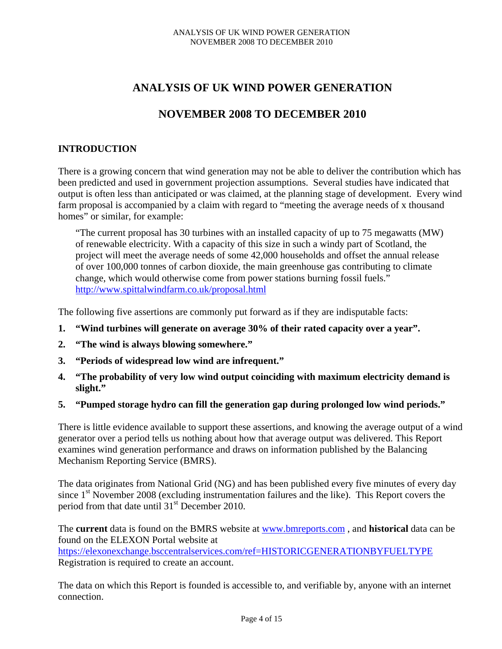# **ANALYSIS OF UK WIND POWER GENERATION**

# **NOVEMBER 2008 TO DECEMBER 2010**

## **INTRODUCTION**

There is a growing concern that wind generation may not be able to deliver the contribution which has been predicted and used in government projection assumptions. Several studies have indicated that output is often less than anticipated or was claimed, at the planning stage of development. Every wind farm proposal is accompanied by a claim with regard to "meeting the average needs of x thousand homes" or similar, for example:

"The current proposal has 30 turbines with an installed capacity of up to 75 megawatts (MW) of renewable electricity. With a capacity of this size in such a windy part of Scotland, the project will meet the average needs of some 42,000 households and offset the annual release of over 100,000 tonnes of carbon dioxide, the main greenhouse gas contributing to climate change, which would otherwise come from power stations burning fossil fuels." http://www.spittalwindfarm.co.uk/proposal.html

The following five assertions are commonly put forward as if they are indisputable facts:

- **1. "Wind turbines will generate on average 30% of their rated capacity over a year".**
- **2. "The wind is always blowing somewhere."**
- **3. "Periods of widespread low wind are infrequent."**
- **4. "The probability of very low wind output coinciding with maximum electricity demand is slight."**
- **5. "Pumped storage hydro can fill the generation gap during prolonged low wind periods."**

There is little evidence available to support these assertions, and knowing the average output of a wind generator over a period tells us nothing about how that average output was delivered. This Report examines wind generation performance and draws on information published by the Balancing Mechanism Reporting Service (BMRS).

The data originates from National Grid (NG) and has been published every five minutes of every day since  $1<sup>st</sup>$  November 2008 (excluding instrumentation failures and the like). This Report covers the period from that date until  $31<sup>st</sup>$  December 2010.

The **current** data is found on the BMRS website at www.bmreports.com , and **historical** data can be found on the ELEXON Portal website at https://elexonexchange.bsccentralservices.com/ref=HISTORICGENERATIONBYFUELTYPE Registration is required to create an account.

The data on which this Report is founded is accessible to, and verifiable by, anyone with an internet connection.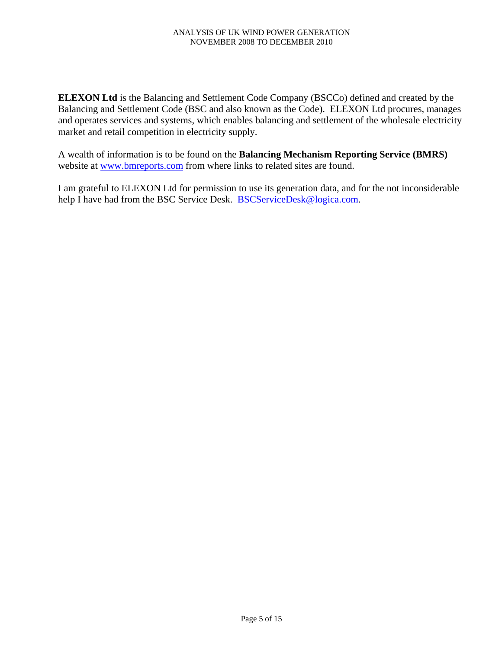**ELEXON Ltd** is the Balancing and Settlement Code Company (BSCCo) defined and created by the Balancing and Settlement Code (BSC and also known as the Code). ELEXON Ltd procures, manages and operates services and systems, which enables balancing and settlement of the wholesale electricity market and retail competition in electricity supply.

A wealth of information is to be found on the **Balancing Mechanism Reporting Service (BMRS)** website at www.bmreports.com from where links to related sites are found.

I am grateful to ELEXON Ltd for permission to use its generation data, and for the not inconsiderable help I have had from the BSC Service Desk. BSCServiceDesk@logica.com.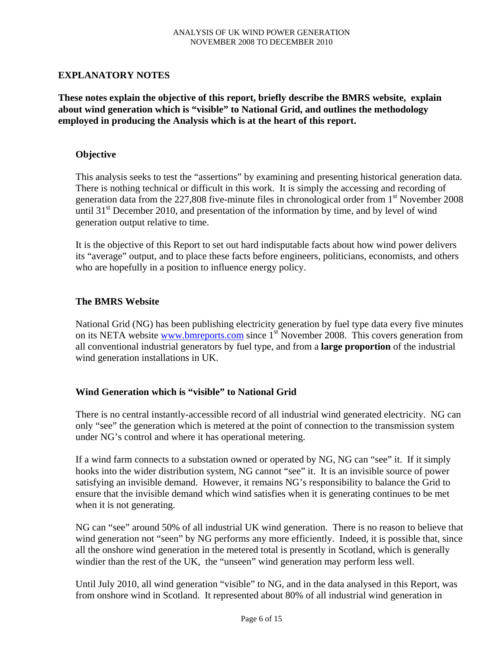## **EXPLANATORY NOTES**

**These notes explain the objective of this report, briefly describe the BMRS website, explain about wind generation which is "visible" to National Grid, and outlines the methodology employed in producing the Analysis which is at the heart of this report.** 

### **Objective**

This analysis seeks to test the "assertions" by examining and presenting historical generation data. There is nothing technical or difficult in this work. It is simply the accessing and recording of generation data from the  $227,808$  five-minute files in chronological order from 1<sup>st</sup> November 2008 until  $31<sup>st</sup>$  December 2010, and presentation of the information by time, and by level of wind generation output relative to time.

It is the objective of this Report to set out hard indisputable facts about how wind power delivers its "average" output, and to place these facts before engineers, politicians, economists, and others who are hopefully in a position to influence energy policy.

### **The BMRS Website**

National Grid (NG) has been publishing electricity generation by fuel type data every five minutes on its NETA website www.bmreports.com since 1<sup>st</sup> November 2008. This covers generation from all conventional industrial generators by fuel type, and from a **large proportion** of the industrial wind generation installations in UK.

## **Wind Generation which is "visible" to National Grid**

There is no central instantly-accessible record of all industrial wind generated electricity. NG can only "see" the generation which is metered at the point of connection to the transmission system under NG's control and where it has operational metering.

If a wind farm connects to a substation owned or operated by NG, NG can "see" it. If it simply hooks into the wider distribution system, NG cannot "see" it. It is an invisible source of power satisfying an invisible demand. However, it remains NG's responsibility to balance the Grid to ensure that the invisible demand which wind satisfies when it is generating continues to be met when it is not generating.

NG can "see" around 50% of all industrial UK wind generation. There is no reason to believe that wind generation not "seen" by NG performs any more efficiently. Indeed, it is possible that, since all the onshore wind generation in the metered total is presently in Scotland, which is generally windier than the rest of the UK, the "unseen" wind generation may perform less well.

Until July 2010, all wind generation "visible" to NG, and in the data analysed in this Report, was from onshore wind in Scotland. It represented about 80% of all industrial wind generation in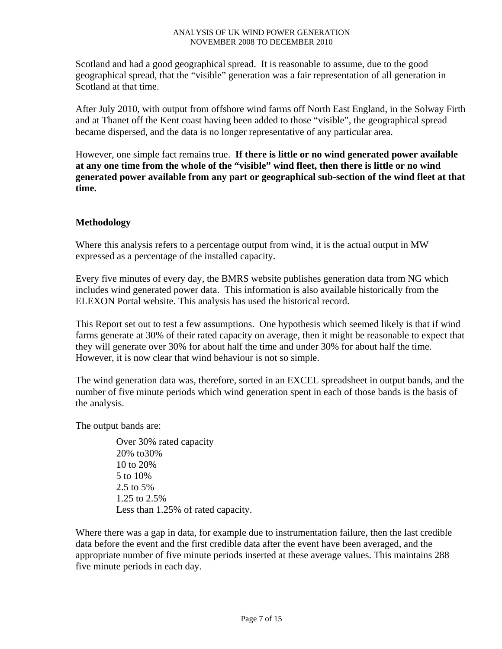Scotland and had a good geographical spread. It is reasonable to assume, due to the good geographical spread, that the "visible" generation was a fair representation of all generation in Scotland at that time.

After July 2010, with output from offshore wind farms off North East England, in the Solway Firth and at Thanet off the Kent coast having been added to those "visible", the geographical spread became dispersed, and the data is no longer representative of any particular area.

However, one simple fact remains true. **If there is little or no wind generated power available at any one time from the whole of the "visible" wind fleet, then there is little or no wind generated power available from any part or geographical sub-section of the wind fleet at that time.**

# **Methodology**

Where this analysis refers to a percentage output from wind, it is the actual output in MW expressed as a percentage of the installed capacity.

Every five minutes of every day, the BMRS website publishes generation data from NG which includes wind generated power data. This information is also available historically from the ELEXON Portal website. This analysis has used the historical record.

This Report set out to test a few assumptions. One hypothesis which seemed likely is that if wind farms generate at 30% of their rated capacity on average, then it might be reasonable to expect that they will generate over 30% for about half the time and under 30% for about half the time. However, it is now clear that wind behaviour is not so simple.

The wind generation data was, therefore, sorted in an EXCEL spreadsheet in output bands, and the number of five minute periods which wind generation spent in each of those bands is the basis of the analysis.

The output bands are:

Over 30% rated capacity 20% to30% 10 to 20% 5 to 10% 2.5 to 5% 1.25 to 2.5% Less than 1.25% of rated capacity.

Where there was a gap in data, for example due to instrumentation failure, then the last credible data before the event and the first credible data after the event have been averaged, and the appropriate number of five minute periods inserted at these average values. This maintains 288 five minute periods in each day.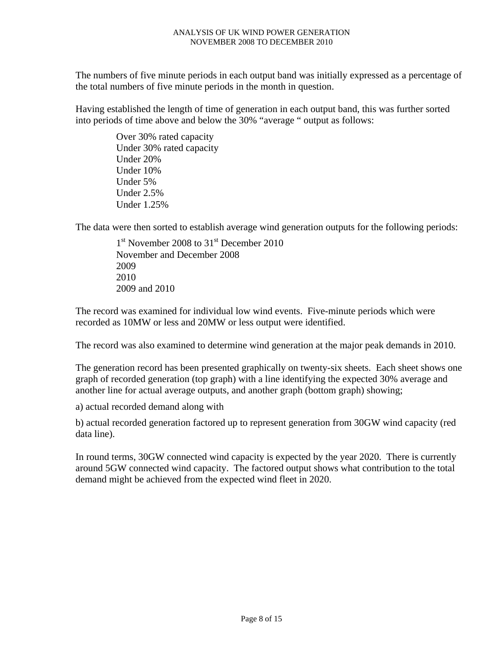The numbers of five minute periods in each output band was initially expressed as a percentage of the total numbers of five minute periods in the month in question.

Having established the length of time of generation in each output band, this was further sorted into periods of time above and below the 30% "average " output as follows:

> Over 30% rated capacity Under 30% rated capacity Under 20% Under 10% Under 5% Under 2.5% Under 1.25%

The data were then sorted to establish average wind generation outputs for the following periods:

1<sup>st</sup> November 2008 to 31<sup>st</sup> December 2010 November and December 2008 2009 2010 2009 and 2010

The record was examined for individual low wind events. Five-minute periods which were recorded as 10MW or less and 20MW or less output were identified.

The record was also examined to determine wind generation at the major peak demands in 2010.

The generation record has been presented graphically on twenty-six sheets. Each sheet shows one graph of recorded generation (top graph) with a line identifying the expected 30% average and another line for actual average outputs, and another graph (bottom graph) showing;

a) actual recorded demand along with

b) actual recorded generation factored up to represent generation from 30GW wind capacity (red data line).

In round terms, 30GW connected wind capacity is expected by the year 2020. There is currently around 5GW connected wind capacity. The factored output shows what contribution to the total demand might be achieved from the expected wind fleet in 2020.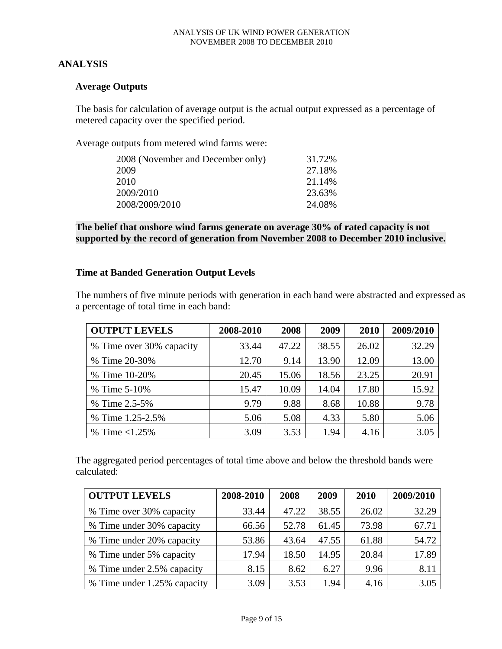## **ANALYSIS**

### **Average Outputs**

The basis for calculation of average output is the actual output expressed as a percentage of metered capacity over the specified period.

Average outputs from metered wind farms were:

| 2008 (November and December only) | 31.72% |
|-----------------------------------|--------|
| 2009                              | 27.18% |
| 2010                              | 21.14% |
| 2009/2010                         | 23.63% |
| 2008/2009/2010                    | 24.08% |

**The belief that onshore wind farms generate on average 30% of rated capacity is not supported by the record of generation from November 2008 to December 2010 inclusive.** 

### **Time at Banded Generation Output Levels**

The numbers of five minute periods with generation in each band were abstracted and expressed as a percentage of total time in each band:

| <b>OUTPUT LEVELS</b>     | 2008-2010 | 2008  | 2009  | 2010  | 2009/2010 |
|--------------------------|-----------|-------|-------|-------|-----------|
| % Time over 30% capacity | 33.44     | 47.22 | 38.55 | 26.02 | 32.29     |
| % Time 20-30%            | 12.70     | 9.14  | 13.90 | 12.09 | 13.00     |
| % Time 10-20%            | 20.45     | 15.06 | 18.56 | 23.25 | 20.91     |
| % Time $5-10\%$          | 15.47     | 10.09 | 14.04 | 17.80 | 15.92     |
| % Time 2.5-5%            | 9.79      | 9.88  | 8.68  | 10.88 | 9.78      |
| % Time 1.25-2.5%         | 5.06      | 5.08  | 4.33  | 5.80  | 5.06      |
| % Time $< 1.25\%$        | 3.09      | 3.53  | 1.94  | 4.16  | 3.05      |

The aggregated period percentages of total time above and below the threshold bands were calculated:

| <b>OUTPUT LEVELS</b>        | 2008-2010 | 2008  | 2009  | 2010  | 2009/2010 |
|-----------------------------|-----------|-------|-------|-------|-----------|
| % Time over 30% capacity    | 33.44     | 47.22 | 38.55 | 26.02 | 32.29     |
| % Time under 30% capacity   | 66.56     | 52.78 | 61.45 | 73.98 | 67.71     |
| % Time under 20% capacity   | 53.86     | 43.64 | 47.55 | 61.88 | 54.72     |
| % Time under 5% capacity    | 17.94     | 18.50 | 14.95 | 20.84 | 17.89     |
| % Time under 2.5% capacity  | 8.15      | 8.62  | 6.27  | 9.96  | 8.11      |
| % Time under 1.25% capacity | 3.09      | 3.53  | 1.94  | 4.16  | 3.05      |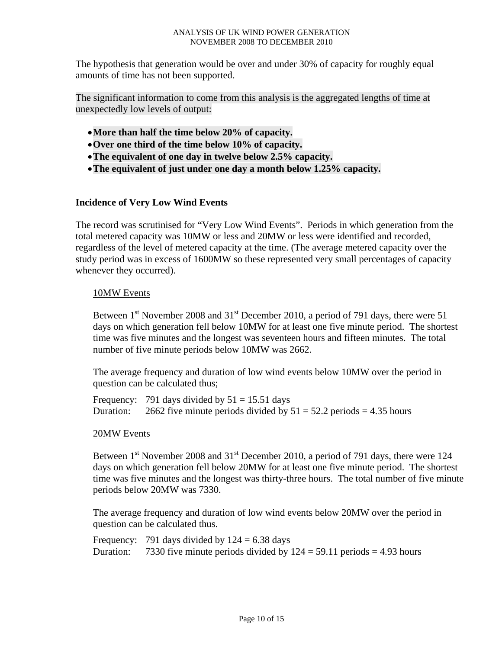The hypothesis that generation would be over and under 30% of capacity for roughly equal amounts of time has not been supported.

The significant information to come from this analysis is the aggregated lengths of time at unexpectedly low levels of output:

- •**More than half the time below 20% of capacity.**
- •**Over one third of the time below 10% of capacity.**
- •**The equivalent of one day in twelve below 2.5% capacity.**
- •**The equivalent of just under one day a month below 1.25% capacity.**

## **Incidence of Very Low Wind Events**

The record was scrutinised for "Very Low Wind Events". Periods in which generation from the total metered capacity was 10MW or less and 20MW or less were identified and recorded, regardless of the level of metered capacity at the time. (The average metered capacity over the study period was in excess of 1600MW so these represented very small percentages of capacity whenever they occurred).

## 10MW Events

Between 1<sup>st</sup> November 2008 and 31<sup>st</sup> December 2010, a period of 791 days, there were 51 days on which generation fell below 10MW for at least one five minute period. The shortest time was five minutes and the longest was seventeen hours and fifteen minutes. The total number of five minute periods below 10MW was 2662.

The average frequency and duration of low wind events below 10MW over the period in question can be calculated thus;

Frequency: 791 days divided by  $51 = 15.51$  days Duration: 2662 five minute periods divided by  $51 = 52.2$  periods = 4.35 hours

#### 20MW Events

Between  $1<sup>st</sup>$  November 2008 and  $31<sup>st</sup>$  December 2010, a period of 791 days, there were 124 days on which generation fell below 20MW for at least one five minute period. The shortest time was five minutes and the longest was thirty-three hours. The total number of five minute periods below 20MW was 7330.

The average frequency and duration of low wind events below 20MW over the period in question can be calculated thus.

Frequency: 791 days divided by  $124 = 6.38$  days Duration: 7330 five minute periods divided by  $124 = 59.11$  periods  $= 4.93$  hours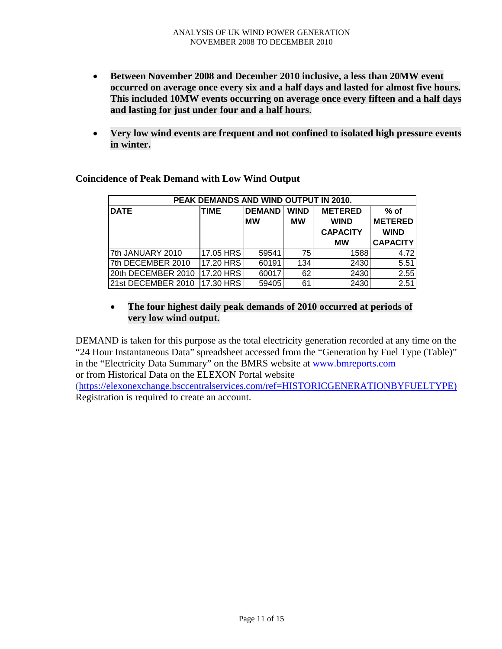- **Between November 2008 and December 2010 inclusive, a less than 20MW event occurred on average once every six and a half days and lasted for almost five hours. This included 10MW events occurring on average once every fifteen and a half days and lasting for just under four and a half hours**.
- **Very low wind events are frequent and not confined to isolated high pressure events in winter.**

| PEAK DEMANDS AND WIND OUTPUT IN 2010. |                |           |           |                 |                 |  |  |  |  |  |
|---------------------------------------|----------------|-----------|-----------|-----------------|-----------------|--|--|--|--|--|
| <b>DATE</b>                           | <b>METERED</b> | $%$ of    |           |                 |                 |  |  |  |  |  |
|                                       |                | <b>MW</b> | <b>MW</b> | <b>WIND</b>     | <b>METERED</b>  |  |  |  |  |  |
|                                       |                |           |           | <b>CAPACITY</b> | <b>WIND</b>     |  |  |  |  |  |
|                                       |                |           |           | <b>MW</b>       | <b>CAPACITY</b> |  |  |  |  |  |
| 7th JANUARY 2010                      | 17.05 HRS      | 59541     | 75        | 1588            | 4.72            |  |  |  |  |  |
| 7th DECEMBER 2010                     | 17.20 HRS      | 60191     | 134       | 2430            | 5.51            |  |  |  |  |  |
| 20th DECEMBER 2010                    | 17.20 HRS      | 60017     | 62        | 2430            | 2.55            |  |  |  |  |  |
| 21st DECEMBER 2010                    | 17.30 HRS      | 59405     | 61        | 2430            | 2.51            |  |  |  |  |  |

**Coincidence of Peak Demand with Low Wind Output** 

# • **The four highest daily peak demands of 2010 occurred at periods of very low wind output.**

DEMAND is taken for this purpose as the total electricity generation recorded at any time on the "24 Hour Instantaneous Data" spreadsheet accessed from the "Generation by Fuel Type (Table)" in the "Electricity Data Summary" on the BMRS website at www.bmreports.com or from Historical Data on the ELEXON Portal website (https://elexonexchange.bsccentralservices.com/ref=HISTORICGENERATIONBYFUELTYPE) Registration is required to create an account.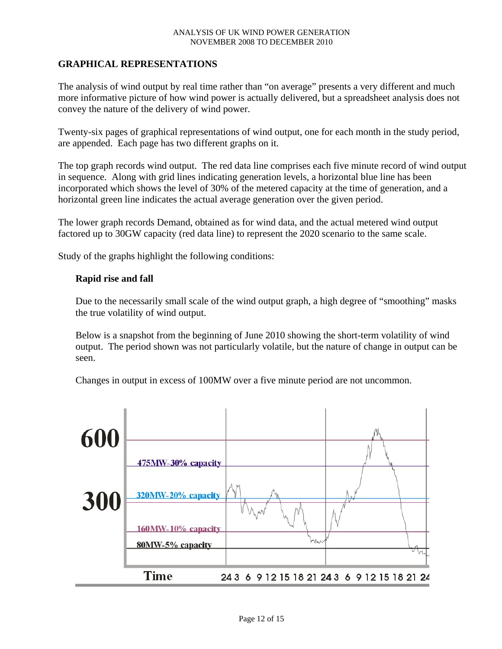## **GRAPHICAL REPRESENTATIONS**

The analysis of wind output by real time rather than "on average" presents a very different and much more informative picture of how wind power is actually delivered, but a spreadsheet analysis does not convey the nature of the delivery of wind power.

Twenty-six pages of graphical representations of wind output, one for each month in the study period, are appended. Each page has two different graphs on it.

The top graph records wind output. The red data line comprises each five minute record of wind output in sequence. Along with grid lines indicating generation levels, a horizontal blue line has been incorporated which shows the level of 30% of the metered capacity at the time of generation, and a horizontal green line indicates the actual average generation over the given period.

The lower graph records Demand, obtained as for wind data, and the actual metered wind output factored up to 30GW capacity (red data line) to represent the 2020 scenario to the same scale.

Study of the graphs highlight the following conditions:

### **Rapid rise and fall**

Due to the necessarily small scale of the wind output graph, a high degree of "smoothing" masks the true volatility of wind output.

Below is a snapshot from the beginning of June 2010 showing the short-term volatility of wind output. The period shown was not particularly volatile, but the nature of change in output can be seen.

Changes in output in excess of 100MW over a five minute period are not uncommon.

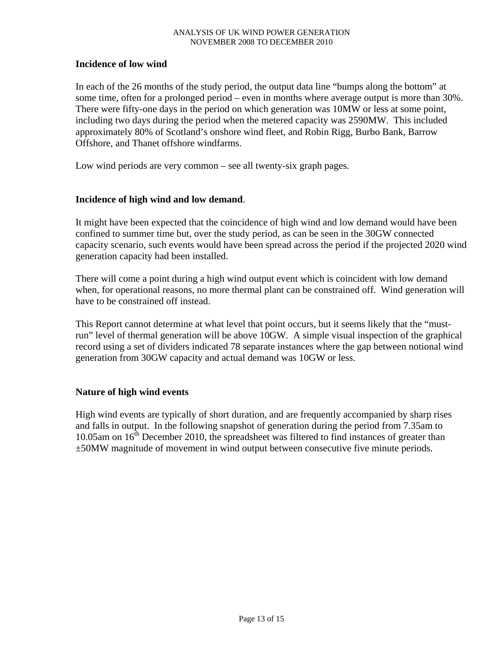## **Incidence of low wind**

In each of the 26 months of the study period, the output data line "bumps along the bottom" at some time, often for a prolonged period – even in months where average output is more than 30%. There were fifty-one days in the period on which generation was 10MW or less at some point, including two days during the period when the metered capacity was 2590MW. This included approximately 80% of Scotland's onshore wind fleet, and Robin Rigg, Burbo Bank, Barrow Offshore, and Thanet offshore windfarms.

Low wind periods are very common – see all twenty-six graph pages.

### **Incidence of high wind and low demand**.

It might have been expected that the coincidence of high wind and low demand would have been confined to summer time but, over the study period, as can be seen in the 30GW connected capacity scenario, such events would have been spread across the period if the projected 2020 wind generation capacity had been installed.

There will come a point during a high wind output event which is coincident with low demand when, for operational reasons, no more thermal plant can be constrained off. Wind generation will have to be constrained off instead.

This Report cannot determine at what level that point occurs, but it seems likely that the "mustrun" level of thermal generation will be above 10GW. A simple visual inspection of the graphical record using a set of dividers indicated 78 separate instances where the gap between notional wind generation from 30GW capacity and actual demand was 10GW or less.

## **Nature of high wind events**

High wind events are typically of short duration, and are frequently accompanied by sharp rises and falls in output. In the following snapshot of generation during the period from 7.35am to 10.05am on  $16<sup>th</sup>$  December 2010, the spreadsheet was filtered to find instances of greater than ±50MW magnitude of movement in wind output between consecutive five minute periods.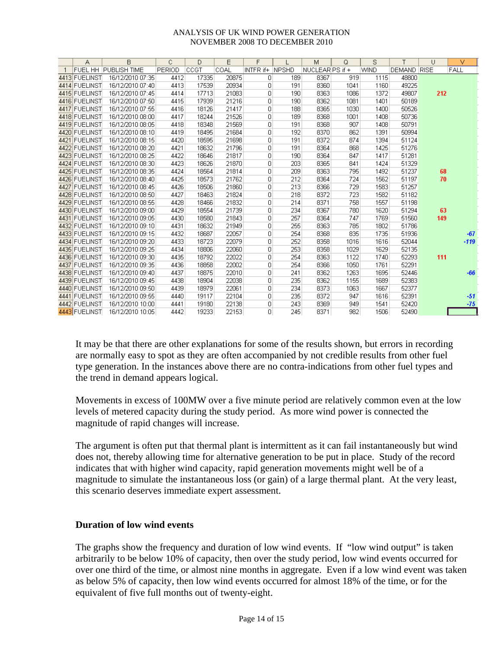| $\overline{A}$ | B                           | C             | D     | E     | F         |              | M               | Q    | S           | T                  | U   | v      |
|----------------|-----------------------------|---------------|-------|-------|-----------|--------------|-----------------|------|-------------|--------------------|-----|--------|
|                | <b>FUEL HH PUBLISH TIME</b> | <b>PERIOD</b> | ICCGT | COAL  | INTFR if+ | <b>NPSHD</b> | NUCLEAR PS if + |      | <b>WIND</b> | <b>DEMAND RISE</b> |     | FALL   |
| 4413 FUELINST  | 16/12/2010 07:35            | 4412          | 17335 | 20875 | 0         | 189          | 8367            | 919  | 1115        | 48800              |     |        |
| 4414 FUELINST  | 16/12/2010 07:40            | 4413          | 17539 | 20934 | 0         | 191          | 8360            | 1041 | 1160        | 49225              |     |        |
| 4415 FUELINST  | 16/12/2010 07:45            | 4414          | 17713 | 21083 | 0         | 190          | 8363            | 1086 | 1372        | 49807              | 212 |        |
| 4416 FUELINST  | 16/12/2010 07:50            | 4415          | 17939 | 21216 | 0         | 190          | 8362            | 1081 | 1401        | 50189              |     |        |
| 4417 FUELINST  | 16/12/2010 07:55            | 4416          | 18126 | 21417 | 0         | 188          | 8365            | 1030 | 1400        | 50526              |     |        |
| 4418 FUELINST  | 16/12/2010 08:00            | 4417          | 18244 | 21526 | 0         | 189          | 8368            | 1001 | 1408        | 50736              |     |        |
| 4419 FUELINST  | 16/12/2010 08:05            | 4418          | 18348 | 21569 | 0         | 191          | 8368            | 907  | 1408        | 50791              |     |        |
| 4420 FUELINST  | 16/12/2010 08:10            | 4419          | 18495 | 21684 | 0         | 192          | 8370            | 862  | 1391        | 50994              |     |        |
| 4421 FUELINST  | 16/12/2010 08:15            | 4420          | 18595 | 21698 | 0         | 191          | 8372            | 874  | 1394        | 51124              |     |        |
| 4422 FUELINST  | 16/12/2010 08:20            | 4421          | 18632 | 21796 | 0         | 191          | 8364            | 868  | 1425        | 51276              |     |        |
| 4423 FUELINST  | 16/12/2010 08:25            | 4422          | 18646 | 21817 | 0         | 190          | 8364            | 847  | 1417        | 51281              |     |        |
| 4424 FUELINST  | 16/12/2010 08:30            | 4423          | 18626 | 21870 | 0         | 203          | 8365            | 841  | 1424        | 51329              |     |        |
| 4425 FUELINST  | 16/12/2010 08:35            | 4424          | 18564 | 21814 | 0         | 209          | 8363            | 795  | 1492        | 51237              | 68  |        |
| 4426 FUELINST  | 16/12/2010 08:40            | 4425          | 18573 | 21762 | 0         | 212          | 8364            | 724  | 1562        | 51197              | 70  |        |
| 4427 FUELINST  | 16/12/2010 08:45            | 4426          | 18506 | 21860 | 0         | 213          | 8366            | 729  | 1583        | 51257              |     |        |
| 4428 FUELINST  | 16/12/2010 08:50            | 4427          | 18463 | 21824 | 0         | 218          | 8372            | 723  | 1582        | 51182              |     |        |
| 4429 FUELINST  | 16/12/2010 08:55            | 4428          | 18466 | 21832 | 0         | 214          | 8371            | 758  | 1557        | 51198              |     |        |
| 4430 FUELINST  | 16/12/2010 09:00            | 4429          | 18554 | 21739 | $\Box$    | 234          | 8367            | 780  | 1620        | 51294              | 63  |        |
| 4431 FUELINST  | 16/12/2010 09:05            | 4430          | 18580 | 21843 | 0         | 257          | 8364            | 747  | 1769        | 51560              | 149 |        |
| 4432 FUELINST  | 16/12/2010 09:10            | 4431          | 18632 | 21949 | 0         | 255          | 8363            | 785  | 1802        | 51786              |     |        |
| 4433 FUELINST  | 16/12/2010 09:15            | 4432          | 18687 | 22057 | 0         | 254          | 8368            | 835  | 1735        | 51936              |     | $-67$  |
| 4434 FUELINST  | 16/12/2010 09:20            | 4433          | 18723 | 22079 | 0         | 252          | 8358            | 1016 | 1616        | 52044              |     | $-119$ |
| 4435 FUELINST  | 16/12/2010 09:25            | 4434          | 18806 | 22060 | 0         | 253          | 8358            | 1029 | 1629        | 52135              |     |        |
| 4436 FUELINST  | 16/12/2010 09:30            | 4435          | 18792 | 22022 | 0         | 254          | 8363            | 1122 | 1740        | 52293              | 111 |        |
| 4437 FUELINST  | 16/12/2010 09:35            | 4436          | 18858 | 22002 | 0         | 254          | 8366            | 1050 | 1761        | 52291              |     |        |
| 4438 FUELINST  | 16/12/2010 09:40            | 4437          | 18875 | 22010 | 0         | 241          | 8362            | 1263 | 1695        | 52446              |     | $-66$  |
| 4439 FUELINST  | 16/12/2010 09:45            | 4438          | 18904 | 22038 | 0         | 235          | 8362            | 1155 | 1689        | 52383              |     |        |
| 4440 FUELINST  | 16/12/2010 09:50            | 4439          | 18979 | 22061 | 0         | 234          | 8373            | 1063 | 1667        | 52377              |     |        |
| 4441 FUELINST  | 16/12/2010 09:55            | 4440          | 19117 | 22104 | 0         | 235          | 8372            | 947  | 1616        | 52391              |     | $-51$  |
| 4442 FUELINST  | 16/12/2010 10:00            | 4441          | 19180 | 22138 | 0         | 243          | 8369            | 949  | 1541        | 52420              |     | $-75$  |
| 4443 FUELINST  | 16/12/2010 10:05            | 4442          | 19233 | 22153 | 0         | 245          | 8371            | 982  | 1506        | 52490              |     |        |

It may be that there are other explanations for some of the results shown, but errors in recording are normally easy to spot as they are often accompanied by not credible results from other fuel type generation. In the instances above there are no contra-indications from other fuel types and the trend in demand appears logical.

Movements in excess of 100MW over a five minute period are relatively common even at the low levels of metered capacity during the study period. As more wind power is connected the magnitude of rapid changes will increase.

The argument is often put that thermal plant is intermittent as it can fail instantaneously but wind does not, thereby allowing time for alternative generation to be put in place. Study of the record indicates that with higher wind capacity, rapid generation movements might well be of a magnitude to simulate the instantaneous loss (or gain) of a large thermal plant. At the very least, this scenario deserves immediate expert assessment.

# **Duration of low wind events**

The graphs show the frequency and duration of low wind events. If "low wind output" is taken arbitrarily to be below 10% of capacity, then over the study period, low wind events occurred for over one third of the time, or almost nine months in aggregate. Even if a low wind event was taken as below 5% of capacity, then low wind events occurred for almost 18% of the time, or for the equivalent of five full months out of twenty-eight.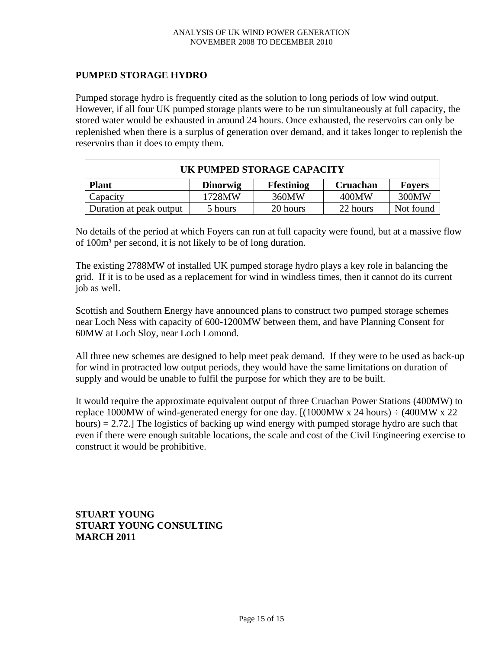## **PUMPED STORAGE HYDRO**

Pumped storage hydro is frequently cited as the solution to long periods of low wind output. However, if all four UK pumped storage plants were to be run simultaneously at full capacity, the stored water would be exhausted in around 24 hours. Once exhausted, the reservoirs can only be replenished when there is a surplus of generation over demand, and it takes longer to replenish the reservoirs than it does to empty them.

| UK PUMPED STORAGE CAPACITY |                 |                   |                 |               |  |  |  |  |  |
|----------------------------|-----------------|-------------------|-----------------|---------------|--|--|--|--|--|
| <b>Plant</b>               | <b>Dinorwig</b> | <b>Ffestiniog</b> | <b>Cruachan</b> | <b>Fovers</b> |  |  |  |  |  |
| Capacity                   | 1728MW          | 360MW             | 400MW           | 300MW         |  |  |  |  |  |
| Duration at peak output    | 5 hours         | 20 hours          | 22 hours        | Not found     |  |  |  |  |  |

No details of the period at which Foyers can run at full capacity were found, but at a massive flow of 100m³ per second, it is not likely to be of long duration.

The existing 2788MW of installed UK pumped storage hydro plays a key role in balancing the grid. If it is to be used as a replacement for wind in windless times, then it cannot do its current job as well.

Scottish and Southern Energy have announced plans to construct two pumped storage schemes near Loch Ness with capacity of 600-1200MW between them, and have Planning Consent for 60MW at Loch Sloy, near Loch Lomond.

All three new schemes are designed to help meet peak demand. If they were to be used as back-up for wind in protracted low output periods, they would have the same limitations on duration of supply and would be unable to fulfil the purpose for which they are to be built.

It would require the approximate equivalent output of three Cruachan Power Stations (400MW) to replace 1000MW of wind-generated energy for one day.  $[(1000MW \times 24 hours) \div (400MW \times 22$ hours) = 2.72.] The logistics of backing up wind energy with pumped storage hydro are such that even if there were enough suitable locations, the scale and cost of the Civil Engineering exercise to construct it would be prohibitive.

**STUART YOUNG STUART YOUNG CONSULTING MARCH 2011**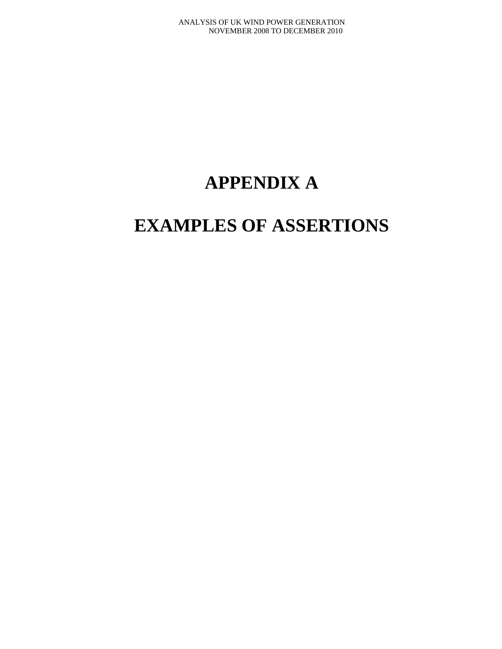# **APPENDIX A**

# **EXAMPLES OF ASSERTIONS**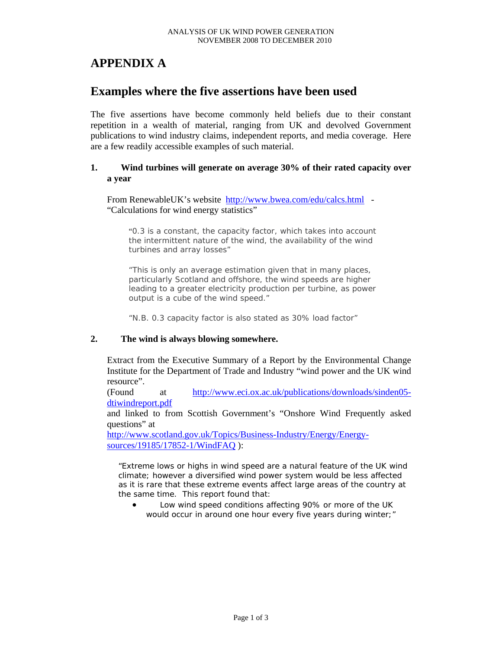# **APPENDIX A**

# **Examples where the five assertions have been used**

The five assertions have become commonly held beliefs due to their constant repetition in a wealth of material, ranging from UK and devolved Government publications to wind industry claims, independent reports, and media coverage. Here are a few readily accessible examples of such material.

#### **1. Wind turbines will generate on average 30% of their rated capacity over a year**

From RenewableUK's website http://www.bwea.com/edu/calcs.html -"Calculations for wind energy statistics"

"0.3 is a constant, the capacity factor, which takes into account the intermittent nature of the wind, the availability of the wind turbines and array losses"

"This is only an average estimation given that in many places, particularly Scotland and offshore, the wind speeds are higher leading to a greater electricity production per turbine, as power output is a cube of the wind speed."

"N.B. 0.3 capacity factor is also stated as 30% load factor"

#### **2. The wind is always blowing somewhere.**

Extract from the Executive Summary of a Report by the Environmental Change Institute for the Department of Trade and Industry "wind power and the UK wind resource".

(Found at http://www.eci.ox.ac.uk/publications/downloads/sinden05 dtiwindreport.pdf

and linked to from Scottish Government's "Onshore Wind Frequently asked questions" at

http://www.scotland.gov.uk/Topics/Business-Industry/Energy/Energysources/19185/17852-1/WindFAQ ):

*"Extreme lows or highs in wind speed are a natural feature of the UK wind climate; however a diversified wind power system would be less affected as it is rare that these extreme events affect large areas of the country at the same time. This report found that:* 

• *Low wind speed conditions affecting 90% or more of the UK would occur in around one hour every five years during winter;"*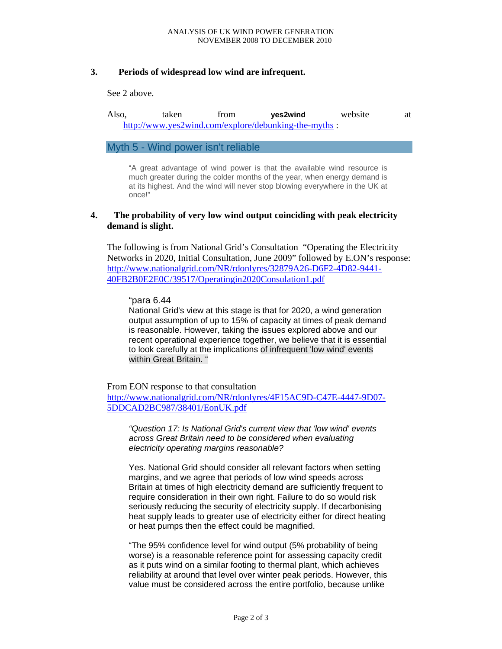### **3. Periods of widespread low wind are infrequent.**

See 2 above.

Also, taken from **yes2wind** website at http://www.yes2wind.com/explore/debunking-the-myths :

Myth 5 - Wind power isn't reliable

"A great advantage of wind power is that the available wind resource is much greater during the colder months of the year, when energy demand is at its highest. And the wind will never stop blowing everywhere in the UK at once!"

### **4. The probability of very low wind output coinciding with peak electricity demand is slight.**

The following is from National Grid's Consultation "Operating the Electricity Networks in 2020, Initial Consultation, June 2009" followed by E.ON's response: http://www.nationalgrid.com/NR/rdonlyres/32879A26-D6F2-4D82-9441- 40FB2B0E2E0C/39517/Operatingin2020Consulation1.pdf

#### "para 6.44

National Grid's view at this stage is that for 2020, a wind generation output assumption of up to 15% of capacity at times of peak demand is reasonable. However, taking the issues explored above and our recent operational experience together, we believe that it is essential to look carefully at the implications of infrequent 'low wind' events within Great Britain. "

From EON response to that consultation

http://www.nationalgrid.com/NR/rdonlyres/4F15AC9D-C47E-4447-9D07- 5DDCAD2BC987/38401/EonUK.pdf

*"Question 17: Is National Grid's current view that 'low wind' events across Great Britain need to be considered when evaluating electricity operating margins reasonable?* 

Yes. National Grid should consider all relevant factors when setting margins, and we agree that periods of low wind speeds across Britain at times of high electricity demand are sufficiently frequent to require consideration in their own right. Failure to do so would risk seriously reducing the security of electricity supply. If decarbonising heat supply leads to greater use of electricity either for direct heating or heat pumps then the effect could be magnified.

 "The 95% confidence level for wind output (5% probability of being worse) is a reasonable reference point for assessing capacity credit as it puts wind on a similar footing to thermal plant, which achieves reliability at around that level over winter peak periods. However, this value must be considered across the entire portfolio, because unlike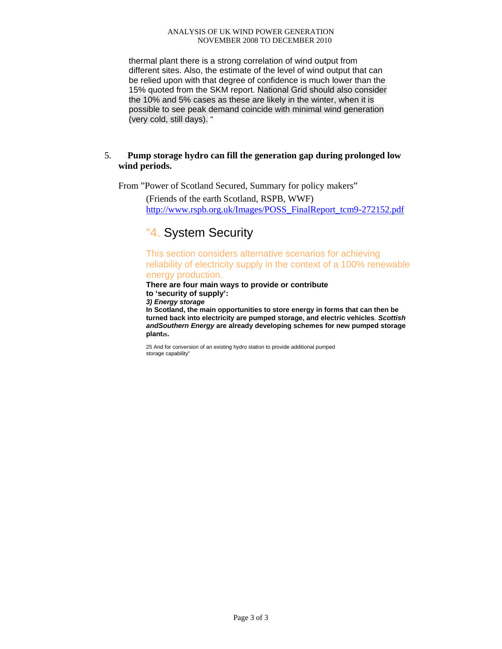thermal plant there is a strong correlation of wind output from different sites. Also, the estimate of the level of wind output that can be relied upon with that degree of confidence is much lower than the 15% quoted from the SKM report. National Grid should also consider the 10% and 5% cases as these are likely in the winter, when it is possible to see peak demand coincide with minimal wind generation (very cold, still days). "

### 5. **Pump storage hydro can fill the generation gap during prolonged low wind periods.**

From "Power of Scotland Secured, Summary for policy makers"

(Friends of the earth Scotland, RSPB, WWF) http://www.rspb.org.uk/Images/POSS\_FinalReport\_tcm9-272152.pdf

# "4. System Security

This section considers alternative scenarios for achieving reliability of electricity supply in the context of a 100% renewable

# energy production.

**There are four main ways to provide or contribute to 'security of supply':**

*3) Energy storage* 

**In Scotland, the main opportunities to store energy in forms that can then be turned back into electricity are pumped storage, and electric vehicles***. Scottish andSouthern Energy* **are already developing schemes for new pumped storage plant25.** 

25 And for conversion of an existing hydro station to provide additional pumped storage capability"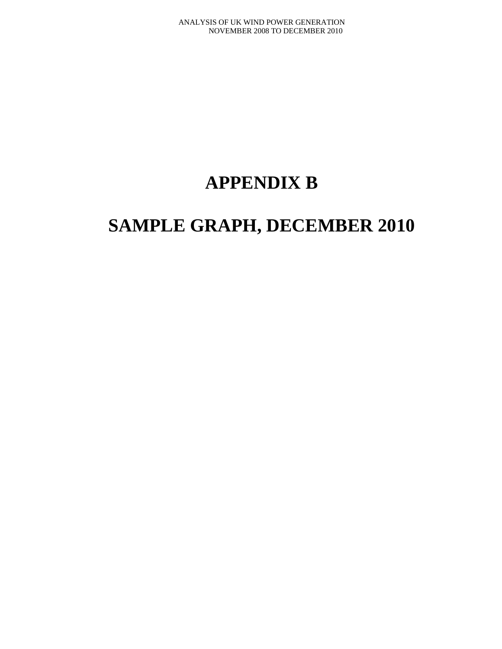# **APPENDIX B**

# **SAMPLE GRAPH, DECEMBER 2010**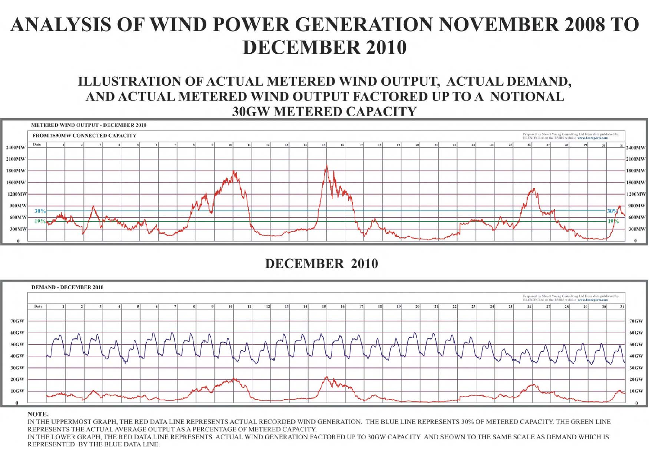# ILLUSTRATION OF ACTUAL METERED WIND OUTPUT, ACTUAL DEMAND, AND ACTUAL METERED WIND OUTPUT FACTORED UP TO A NOTIONAL **30GW METERED CAPACITY**



**DECEMBER 2010** 



#### NOTE.

IN THE UPPERMOST GRAPH. THE RED DATA LINE REPRESENTS ACTUAL RECORDED WIND GENERATION. THE BLUE LINE REPRESENTS 30% OF METERED CAPACITY. THE GREEN LINE REPRESENTS THE ACTUAL AVERAGE OUTPUT AS A PERCENTAGE OF METERED CAPACITY. IN THE LOWER GRAPH, THE RED DATA LINE REPRESENTS ACTUAL WIND GENERATION FACTORED UP TO 30GW CAPACITY AND SHOWN TO THE SAME SCALE AS DEMAND WHICH IS REPRESENTED BY THE BLUE DATA LINE.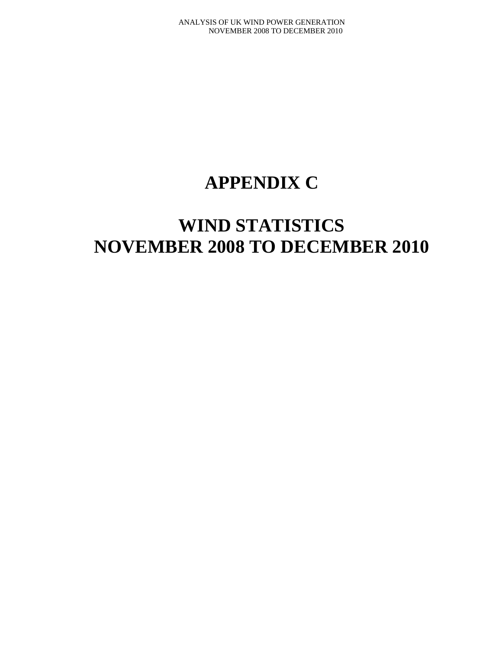# **APPENDIX C**

# **WIND STATISTICS NOVEMBER 2008 TO DECEMBER 2010**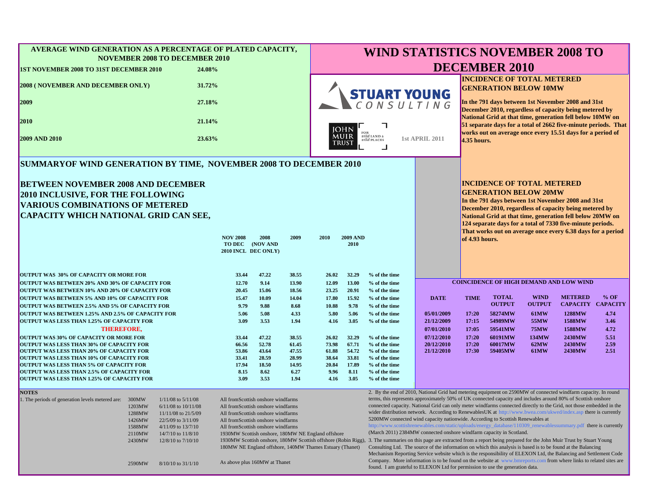| AVERAGE WIND GENERATION AS A PERCENTAGE OF PLATED CAPACITY,<br><b>NOVEMBER 2008 TO DECEMBER 2010</b>                                                                                                                                                                                                                                               | <b>WIND STATISTICS NOVEMBER 2008 TO</b>                   |               |                                                                                                                                                                                                                                                                                                                                                                                                                                                                                                                                                                                                                                                            |                                                                             |                         |                                |                          |                                                                                                              |                                                                                                                                                                                                                                                                                                                                                                                                                                                                                                                                                                                                                                                                                                                                                                                                                                                                                                                                                                                                                                                                               |                      |                                                                                                                                                                                                                                         |                          |  |  |
|----------------------------------------------------------------------------------------------------------------------------------------------------------------------------------------------------------------------------------------------------------------------------------------------------------------------------------------------------|-----------------------------------------------------------|---------------|------------------------------------------------------------------------------------------------------------------------------------------------------------------------------------------------------------------------------------------------------------------------------------------------------------------------------------------------------------------------------------------------------------------------------------------------------------------------------------------------------------------------------------------------------------------------------------------------------------------------------------------------------------|-----------------------------------------------------------------------------|-------------------------|--------------------------------|--------------------------|--------------------------------------------------------------------------------------------------------------|-------------------------------------------------------------------------------------------------------------------------------------------------------------------------------------------------------------------------------------------------------------------------------------------------------------------------------------------------------------------------------------------------------------------------------------------------------------------------------------------------------------------------------------------------------------------------------------------------------------------------------------------------------------------------------------------------------------------------------------------------------------------------------------------------------------------------------------------------------------------------------------------------------------------------------------------------------------------------------------------------------------------------------------------------------------------------------|----------------------|-----------------------------------------------------------------------------------------------------------------------------------------------------------------------------------------------------------------------------------------|--------------------------|--|--|
| <b>1ST NOVEMBER 2008 TO 31ST DECEMBER 2010</b><br>24.08%                                                                                                                                                                                                                                                                                           |                                                           |               |                                                                                                                                                                                                                                                                                                                                                                                                                                                                                                                                                                                                                                                            |                                                                             |                         |                                |                          |                                                                                                              | <b>DECEMBER 2010</b>                                                                                                                                                                                                                                                                                                                                                                                                                                                                                                                                                                                                                                                                                                                                                                                                                                                                                                                                                                                                                                                          |                      |                                                                                                                                                                                                                                         |                          |  |  |
| 31.72%<br><b>2008 (NOVEMBER AND DECEMBER ONLY)</b>                                                                                                                                                                                                                                                                                                 |                                                           |               |                                                                                                                                                                                                                                                                                                                                                                                                                                                                                                                                                                                                                                                            |                                                                             |                         |                                |                          | <b>INCIDENCE OF TOTAL METERED</b><br><b>GENERATION BELOW 10MW</b>                                            |                                                                                                                                                                                                                                                                                                                                                                                                                                                                                                                                                                                                                                                                                                                                                                                                                                                                                                                                                                                                                                                                               |                      |                                                                                                                                                                                                                                         |                          |  |  |
| 2009<br>27.18%                                                                                                                                                                                                                                                                                                                                     |                                                           |               |                                                                                                                                                                                                                                                                                                                                                                                                                                                                                                                                                                                                                                                            |                                                                             |                         | <b>STUART YOUNG</b>            |                          | In the 791 days between 1st November 2008 and 31st<br>December 2010, regardless of capacity being metered by |                                                                                                                                                                                                                                                                                                                                                                                                                                                                                                                                                                                                                                                                                                                                                                                                                                                                                                                                                                                                                                                                               |                      |                                                                                                                                                                                                                                         |                          |  |  |
| 2010<br>21.14%                                                                                                                                                                                                                                                                                                                                     |                                                           |               |                                                                                                                                                                                                                                                                                                                                                                                                                                                                                                                                                                                                                                                            |                                                                             | <b>JOHN</b>             |                                |                          |                                                                                                              |                                                                                                                                                                                                                                                                                                                                                                                                                                                                                                                                                                                                                                                                                                                                                                                                                                                                                                                                                                                                                                                                               |                      | National Grid at that time, generation fell below 10MW on<br>51 separate days for a total of 2662 five-minute periods. That<br>works out on average once every 15.51 days for a period of                                               |                          |  |  |
| <b>2009 AND 2010</b><br>23.63%                                                                                                                                                                                                                                                                                                                     |                                                           |               |                                                                                                                                                                                                                                                                                                                                                                                                                                                                                                                                                                                                                                                            | FOR<br>MUIR<br>wild LAND &<br><b>1st APRIL 2011</b><br>wild PLACES<br>TRUST |                         |                                |                          | 4.35 hours.                                                                                                  |                                                                                                                                                                                                                                                                                                                                                                                                                                                                                                                                                                                                                                                                                                                                                                                                                                                                                                                                                                                                                                                                               |                      |                                                                                                                                                                                                                                         |                          |  |  |
| SUMMARYOF WIND GENERATION BY TIME, NOVEMBER 2008 TO DECEMBER 2010                                                                                                                                                                                                                                                                                  |                                                           |               |                                                                                                                                                                                                                                                                                                                                                                                                                                                                                                                                                                                                                                                            |                                                                             |                         |                                |                          |                                                                                                              |                                                                                                                                                                                                                                                                                                                                                                                                                                                                                                                                                                                                                                                                                                                                                                                                                                                                                                                                                                                                                                                                               |                      |                                                                                                                                                                                                                                         |                          |  |  |
| <b>BETWEEN NOVEMBER 2008 AND DECEMBER</b><br><b>2010 INCLUSIVE, FOR THE FOLLOWING</b><br><b>VARIOUS COMBINATIONS OF METERED</b><br><b>CAPACITY WHICH NATIONAL GRID CAN SEE,</b>                                                                                                                                                                    |                                                           |               |                                                                                                                                                                                                                                                                                                                                                                                                                                                                                                                                                                                                                                                            |                                                                             |                         |                                |                          |                                                                                                              | <b>INCIDENCE OF TOTAL METERED</b><br><b>GENERATION BELOW 20MW</b>                                                                                                                                                                                                                                                                                                                                                                                                                                                                                                                                                                                                                                                                                                                                                                                                                                                                                                                                                                                                             |                      | In the 791 days between 1st November 2008 and 31st<br>December 2010, regardless of capacity being metered by<br>National Grid at that time, generation fell below 20MW on<br>124 separate days for a total of 7330 five-minute periods. |                          |  |  |
|                                                                                                                                                                                                                                                                                                                                                    | <b>NOV 2008</b><br>TO DEC (NOV AND<br>2010 INCL DEC ONLY) | 2008          | 2009                                                                                                                                                                                                                                                                                                                                                                                                                                                                                                                                                                                                                                                       | 2010                                                                        | <b>2009 AND</b><br>2010 |                                |                          | of 4.93 hours.                                                                                               |                                                                                                                                                                                                                                                                                                                                                                                                                                                                                                                                                                                                                                                                                                                                                                                                                                                                                                                                                                                                                                                                               |                      | That works out on average once every 6.38 days for a period                                                                                                                                                                             |                          |  |  |
| OUTPUT WAS 30% OF CAPACITY OR MORE FOR                                                                                                                                                                                                                                                                                                             | 33.44                                                     | 47.22         | 38.55                                                                                                                                                                                                                                                                                                                                                                                                                                                                                                                                                                                                                                                      | 26.02                                                                       | 32.29                   | % of the time                  |                          |                                                                                                              |                                                                                                                                                                                                                                                                                                                                                                                                                                                                                                                                                                                                                                                                                                                                                                                                                                                                                                                                                                                                                                                                               |                      |                                                                                                                                                                                                                                         |                          |  |  |
| OUTPUT WAS BETWEEN 20% AND 30% OF CAPACITY FOR                                                                                                                                                                                                                                                                                                     | 12.70                                                     | 9.14          | 13.90                                                                                                                                                                                                                                                                                                                                                                                                                                                                                                                                                                                                                                                      | 12.09                                                                       | 13.00                   | % of the time                  |                          |                                                                                                              |                                                                                                                                                                                                                                                                                                                                                                                                                                                                                                                                                                                                                                                                                                                                                                                                                                                                                                                                                                                                                                                                               |                      | <b>COINCIDENCE OF HIGH DEMAND AND LOW WIND</b>                                                                                                                                                                                          |                          |  |  |
| <b>OUTPUT WAS BETWEEN 10% AND 20% OF CAPACITY FOR</b>                                                                                                                                                                                                                                                                                              | 20.45                                                     | 15.06         | 18.56                                                                                                                                                                                                                                                                                                                                                                                                                                                                                                                                                                                                                                                      | 23.25                                                                       | 20.91                   | % of the time                  |                          |                                                                                                              |                                                                                                                                                                                                                                                                                                                                                                                                                                                                                                                                                                                                                                                                                                                                                                                                                                                                                                                                                                                                                                                                               |                      |                                                                                                                                                                                                                                         |                          |  |  |
| <b>OUTPUT WAS BETWEEN 5% AND 10% OF CAPACITY FOR</b>                                                                                                                                                                                                                                                                                               | 15.47                                                     | 10.09         | 14.04                                                                                                                                                                                                                                                                                                                                                                                                                                                                                                                                                                                                                                                      | 17.80                                                                       | 15.92                   | % of the time                  | <b>DATE</b>              | <b>TIME</b>                                                                                                  | <b>TOTAL</b>                                                                                                                                                                                                                                                                                                                                                                                                                                                                                                                                                                                                                                                                                                                                                                                                                                                                                                                                                                                                                                                                  | <b>WIND</b>          | <b>METERED</b>                                                                                                                                                                                                                          | $%$ OF                   |  |  |
| OUTPUT WAS BETWEEN 2.5% AND 5% OF CAPACITY FOR                                                                                                                                                                                                                                                                                                     | 9.79                                                      | 9.88          | 8.68                                                                                                                                                                                                                                                                                                                                                                                                                                                                                                                                                                                                                                                       | 10.88                                                                       | 9.78                    | % of the time                  |                          |                                                                                                              | <b>OUTPUT</b>                                                                                                                                                                                                                                                                                                                                                                                                                                                                                                                                                                                                                                                                                                                                                                                                                                                                                                                                                                                                                                                                 | <b>OUTPUT</b>        |                                                                                                                                                                                                                                         | <b>CAPACITY CAPACITY</b> |  |  |
| OUTPUT WAS BETWEEN 1.25% AND 2.5% OF CAPACITY FOR                                                                                                                                                                                                                                                                                                  | 5.06                                                      | 5.08          | 4.33                                                                                                                                                                                                                                                                                                                                                                                                                                                                                                                                                                                                                                                       | 5.80                                                                        | 5.06                    | % of the time                  | 05/01/2009               | 17:20                                                                                                        | 58274MW                                                                                                                                                                                                                                                                                                                                                                                                                                                                                                                                                                                                                                                                                                                                                                                                                                                                                                                                                                                                                                                                       | <b>61MW</b>          | 1288MW                                                                                                                                                                                                                                  | 4.74                     |  |  |
| <b>OUTPUT WAS LESS THAN 1.25% OF CAPACITY FOR</b>                                                                                                                                                                                                                                                                                                  | 3.09                                                      | 3.53          | 1.94                                                                                                                                                                                                                                                                                                                                                                                                                                                                                                                                                                                                                                                       | 4.16                                                                        | 3.05                    | % of the time                  | 21/12/2009               | 17:15                                                                                                        | 54989MW                                                                                                                                                                                                                                                                                                                                                                                                                                                                                                                                                                                                                                                                                                                                                                                                                                                                                                                                                                                                                                                                       | 55MW                 | 1588MW                                                                                                                                                                                                                                  | 3.46                     |  |  |
| <b>THEREFORE,</b><br><b>OUTPUT WAS 30% OF CAPACITY OR MORE FOR</b>                                                                                                                                                                                                                                                                                 | 33.44                                                     | 47.22         | 38.55                                                                                                                                                                                                                                                                                                                                                                                                                                                                                                                                                                                                                                                      | 26.02                                                                       | 32.29                   | % of the time                  | 07/01/2010<br>07/12/2010 | 17:05<br>17:20                                                                                               | 59541MW<br>60191MW                                                                                                                                                                                                                                                                                                                                                                                                                                                                                                                                                                                                                                                                                                                                                                                                                                                                                                                                                                                                                                                            | <b>75MW</b><br>134MW | 1588MW<br>2430MW                                                                                                                                                                                                                        | 4.72<br>5.51             |  |  |
| <b>OUTPUT WAS LESS THAN 30% OF CAPACITY FOR</b>                                                                                                                                                                                                                                                                                                    | 66.56                                                     | 52.78         | 61.45                                                                                                                                                                                                                                                                                                                                                                                                                                                                                                                                                                                                                                                      | 73.98                                                                       | 67.71                   | % of the time                  | 20/12/2010               | 17:20                                                                                                        | 60017MW                                                                                                                                                                                                                                                                                                                                                                                                                                                                                                                                                                                                                                                                                                                                                                                                                                                                                                                                                                                                                                                                       | 62MW                 | 2430MW                                                                                                                                                                                                                                  | 2.59                     |  |  |
| <b>OUTPUT WAS LESS THAN 20% OF CAPACITY FOR</b>                                                                                                                                                                                                                                                                                                    | 53.86                                                     | 43.64         | 47.55                                                                                                                                                                                                                                                                                                                                                                                                                                                                                                                                                                                                                                                      | 61.88                                                                       | 54.72                   | % of the time                  | 21/12/2010               | 17:30                                                                                                        | 59405MW                                                                                                                                                                                                                                                                                                                                                                                                                                                                                                                                                                                                                                                                                                                                                                                                                                                                                                                                                                                                                                                                       | <b>61MW</b>          | 2430MW                                                                                                                                                                                                                                  | 2.51                     |  |  |
| <b>OUTPUT WAS LESS THAN 10% OF CAPACITY FOR</b>                                                                                                                                                                                                                                                                                                    | 33.41                                                     | 28.59         | 28.99                                                                                                                                                                                                                                                                                                                                                                                                                                                                                                                                                                                                                                                      | 38.64                                                                       | 33.81                   | % of the time                  |                          |                                                                                                              |                                                                                                                                                                                                                                                                                                                                                                                                                                                                                                                                                                                                                                                                                                                                                                                                                                                                                                                                                                                                                                                                               |                      |                                                                                                                                                                                                                                         |                          |  |  |
| <b>OUTPUT WAS LESS THAN 5% OF CAPACITY FOR</b><br>OUTPUT WAS LESS THAN 2.5% OF CAPACITY FOR                                                                                                                                                                                                                                                        | 17.94                                                     | 18.50<br>8.62 | 14.95<br>6.27                                                                                                                                                                                                                                                                                                                                                                                                                                                                                                                                                                                                                                              | 20.84<br>9.96                                                               | 17.89<br>8.11           | % of the time<br>% of the time |                          |                                                                                                              |                                                                                                                                                                                                                                                                                                                                                                                                                                                                                                                                                                                                                                                                                                                                                                                                                                                                                                                                                                                                                                                                               |                      |                                                                                                                                                                                                                                         |                          |  |  |
| <b>OUTPUT WAS LESS THAN 1.25% OF CAPACITY FOR</b>                                                                                                                                                                                                                                                                                                  | 8.15<br>3.09                                              | 3.53          | 1.94                                                                                                                                                                                                                                                                                                                                                                                                                                                                                                                                                                                                                                                       | 4.16                                                                        | 3.05                    | % of the time                  |                          |                                                                                                              |                                                                                                                                                                                                                                                                                                                                                                                                                                                                                                                                                                                                                                                                                                                                                                                                                                                                                                                                                                                                                                                                               |                      |                                                                                                                                                                                                                                         |                          |  |  |
|                                                                                                                                                                                                                                                                                                                                                    |                                                           |               |                                                                                                                                                                                                                                                                                                                                                                                                                                                                                                                                                                                                                                                            |                                                                             |                         |                                |                          |                                                                                                              |                                                                                                                                                                                                                                                                                                                                                                                                                                                                                                                                                                                                                                                                                                                                                                                                                                                                                                                                                                                                                                                                               |                      |                                                                                                                                                                                                                                         |                          |  |  |
| <b>NOTES</b><br>1. The periods of generation levels metered are: 300MW<br>$1/11/08$ to $5/11/08$<br>1203MW<br>$6/11/08$ to $10/11/08$<br>1288MW<br>11/11/08 to 21/5/09<br>1426MW<br>22/5/09 to 3/11/09<br>1588MW<br>$4/11/09$ to $13/7/10$<br>2110MW<br>14/7/10 to 11/8/10<br>2430MW<br>$12/8/10$ to $7/10/10$<br>2590MW<br>$8/10/10$ to $31/1/10$ |                                                           |               | All fromScottish onshore windfarms<br>All fromScottish onshore windfarms<br>All fromScottish onshore windfarms<br>5200MW connected wind capacity nationwide. According to Scottish Renewables at<br>All fromScottish onshore windfarms<br>All fromScottish onshore windfarms<br>(March 2011) 2384MW connected onshore windfarm capacity in Scotland.<br>1930MW Scottish onshore, 180MW NE England offshore<br>1930MW Scottish onshore, 180MW Scottish offshore (Robin Rigg),<br>180MW NE England offshore, 140MW Thames Estuary (Thanet)<br>As above plus 160MW at Thanet<br>found. I am grateful to ELEXON Ltd for permission to use the generation data. |                                                                             |                         |                                |                          |                                                                                                              | 2. By the end of 2010, National Grid had metering equipment on 2590MW of connected windfarm capacity. In round<br>terms, this represents approximately 50% of UK connected capacity and includes around 80% of Scottish onshore<br>connected capacity. National Grid can only meter windfarms connected directly to the Grid, not those embedded in the<br>wider distribution network. According to RenewablesUK at http://www.bwea.com/ukwed/index.asp there is currently<br>http://www.scottishrenewables.com/static/uploads/energy_database/110309_renewablessummary.pdf_there is currently<br>3. The summaries on this page are extracted from a report being prepared for the John Muir Trust by Stuart Young<br>Consulting Ltd. The source of the information on which this analysis is based is to be found at the Balancing<br>Mechanism Reporting Service website which is the responsibility of ELEXON Ltd, the Balancing and Settlement Code<br>Company. More information is to be found on the website at www.bmreports.com from where links to related sites are |                      |                                                                                                                                                                                                                                         |                          |  |  |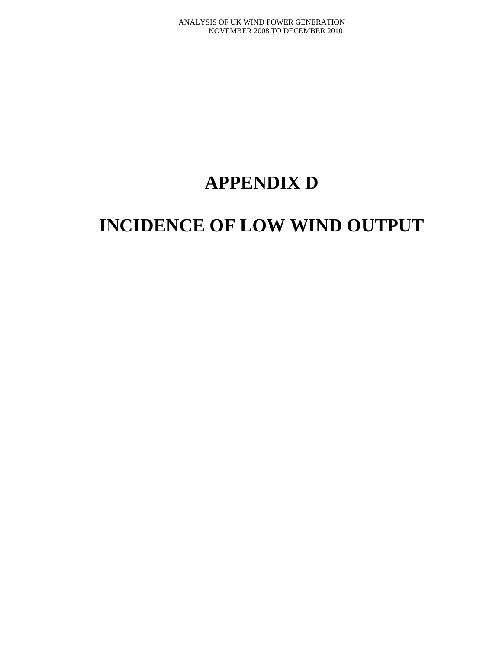# **APPENDIX D**

# **INCIDENCE OF LOW WIND OUTPUT**